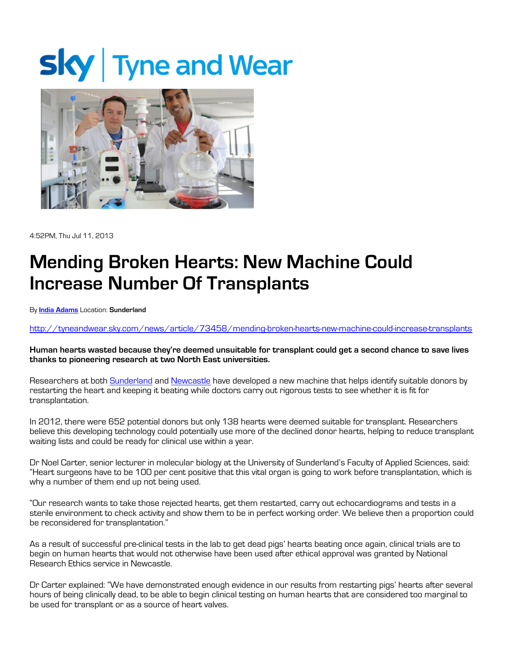## **Sky** Tyne and Wear



4:52PM, Thu Jul 11, 2013

## Mending Broken Hearts: New Machine Could Increase Number Of Transplants

By India Adams Location: Sunderland

http://tyneandwear.sky.com/news/article/73458/mending-broken-hearts-new-machine-could-increase-transplants

Human hearts wasted because they're deemed unsuitable for transplant could get a second chance to save lives thanks to pioneering research at two North East universities.

Researchers at both Sunderland and Newcastle have developed a new machine that helps identify suitable donors by restarting the heart and keeping it beating while doctors carry out rigorous tests to see whether it is fit for transplantation.

In 2012, there were 652 potential donors but only 138 hearts were deemed suitable for transplant. Researchers believe this developing technology could potentially use more of the declined donor hearts, helping to reduce transplant waiting lists and could be ready for clinical use within a year.

Dr Noel Carter, senior lecturer in molecular biology at the University of Sunderland's Faculty of Applied Sciences, said: "Heart surgeons have to be 100 per cent positive that this vital organ is going to work before transplantation, which is why a number of them end up not being used.

"Our research wants to take those rejected hearts, get them restarted, carry out echocardiograms and tests in a sterile environment to check activity and show them to be in perfect working order. We believe then a proportion could be reconsidered for transplantation."

As a result of successful pre-clinical tests in the lab to get dead pigs' hearts beating once again, clinical trials are to begin on human hearts that would not otherwise have been used after ethical approval was granted by National Research Ethics service in Newcastle.

Dr Carter explained: "We have demonstrated enough evidence in our results from restarting pigs' hearts after several hours of being clinically dead, to be able to begin clinical testing on human hearts that are considered too marginal to be used for transplant or as a source of heart valves.